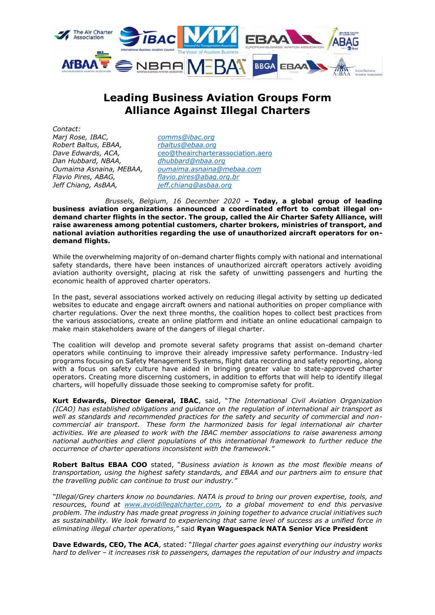

## **Leading Business Aviation Groups Form Alliance Against Illegal Charters**

*Contact: Marj Rose, IBAC, [comms@ibac.org](mailto:comms@ibac.org)  Robert Baltus, EBAA, [rbaltus@ebaa.org](mailto:rbaltus@ebaa.org) Dan Hubbard, NBAA, [dhubbard@nbaa.org](mailto:dhubbard@nbaa.org) Jeff Chiang, AsBAA, [jeff.chiang@asbaa.org](mailto:jeff.chiang@asbaa.org)*

Dave Edwards, ACA, [ceo@theaircharterassociation.aero](mailto:ceo@theaircharterassociation.aero) *Oumaima Asnaina, MEBAA, [oumaima.asnaina@mebaa.com](mailto:oumaima.asnaina@mebaa.com) Flavio Pires, ABAG, [flavio.pires@abag.org.br](mailto:flavio.pires@abag.org.br)*

*Brussels, Belgium, 16 December 2020* **– Today, a global group of leading business aviation organizations announced a coordinated effort to combat illegal ondemand charter flights in the sector. The group, called the Air Charter Safety Alliance, will raise awareness among potential customers, charter brokers, ministries of transport, and national aviation authorities regarding the use of unauthorized aircraft operators for ondemand flights.** 

While the overwhelming majority of on-demand charter flights comply with national and international safety standards, there have been instances of unauthorized aircraft operators actively avoiding aviation authority oversight, placing at risk the safety of unwitting passengers and hurting the economic health of approved charter operators.

In the past, several associations worked actively on reducing illegal activity by setting up dedicated websites to educate and engage aircraft owners and national authorities on proper compliance with charter regulations. Over the next three months, the coalition hopes to collect best practices from the various associations, create an online platform and initiate an online educational campaign to make main stakeholders aware of the dangers of illegal charter.

The coalition will develop and promote several safety programs that assist on-demand charter operators while continuing to improve their already impressive safety performance. Industry-led programs focusing on Safety Management Systems, flight data recording and safety reporting, along with a focus on safety culture have aided in bringing greater value to state-approved charter operators. Creating more discerning customers, in addition to efforts that will help to identify illegal charters, will hopefully dissuade those seeking to compromise safety for profit.

**Kurt Edwards, Director General, IBAC**, said, "*The International Civil Aviation Organization (ICAO) has established obligations and guidance on the regulation of international air transport as well as standards and recommended practices for the safety and security of commercial and noncommercial air transport. These form the harmonized basis for legal international air charter activities. We are pleased to work with the IBAC member associations to raise awareness among national authorities and client populations of this international framework to further reduce the occurrence of charter operations inconsistent with the framework."*

**Robert Baltus EBAA COO** stated, "*Business aviation is known as the most flexible means of transportation, using the highest safety standards, and EBAA and our partners aim to ensure that the travelling public can continue to trust our industry."*

*"Illegal/Grey charters know no boundaries. NATA is proud to bring our proven expertise, tools, and resources, found at [www.avoidillegalcharter.com,](http://www.avoidillegalcharter.com/) to a global movement to end this pervasive problem. The industry has made great progress in joining together to advance crucial initiatives such as sustainability. We look forward to experiencing that same level of success as a unified force in eliminating illegal charter operations,*" said **Ryan Waguespack NATA Senior Vice President**

**Dave Edwards, CEO, The ACA**, stated: "*Illegal charter goes against everything our industry works hard to deliver – it increases risk to passengers, damages the reputation of our industry and impacts*